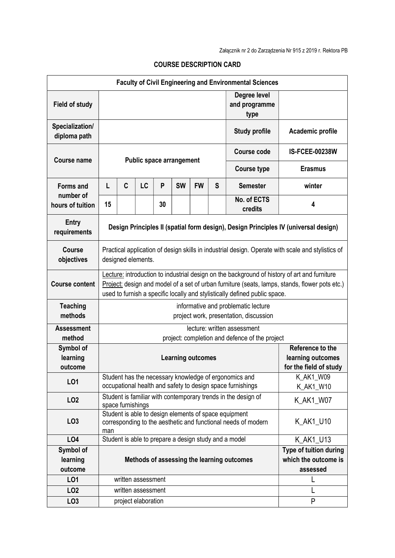| <b>Faculty of Civil Engineering and Environmental Sciences</b> |                                                                                                                                                                                                                                                                              |                                                                                                                                     |    |    |           |           |   |                                                               |                        |  |  |  |
|----------------------------------------------------------------|------------------------------------------------------------------------------------------------------------------------------------------------------------------------------------------------------------------------------------------------------------------------------|-------------------------------------------------------------------------------------------------------------------------------------|----|----|-----------|-----------|---|---------------------------------------------------------------|------------------------|--|--|--|
| <b>Field of study</b>                                          |                                                                                                                                                                                                                                                                              |                                                                                                                                     |    |    |           |           |   | Degree level<br>and programme<br>type                         |                        |  |  |  |
| Specialization/<br>diploma path                                |                                                                                                                                                                                                                                                                              |                                                                                                                                     |    |    |           |           |   | <b>Study profile</b>                                          | Academic profile       |  |  |  |
| Course name                                                    | <b>Public space arrangement</b>                                                                                                                                                                                                                                              |                                                                                                                                     |    |    |           |           |   | <b>Course code</b>                                            | <b>IS-FCEE-00238W</b>  |  |  |  |
|                                                                |                                                                                                                                                                                                                                                                              |                                                                                                                                     |    |    |           |           |   | <b>Course type</b>                                            | <b>Erasmus</b>         |  |  |  |
| <b>Forms and</b><br>number of                                  | L                                                                                                                                                                                                                                                                            | $\mathbf c$                                                                                                                         | LC | P  | <b>SW</b> | <b>FW</b> | S | <b>Semester</b>                                               | winter                 |  |  |  |
| hours of tuition                                               | 15                                                                                                                                                                                                                                                                           |                                                                                                                                     |    | 30 |           |           |   | No. of ECTS<br>credits                                        | 4                      |  |  |  |
| <b>Entry</b><br>requirements                                   | Design Principles II (spatial form design), Design Principles IV (universal design)                                                                                                                                                                                          |                                                                                                                                     |    |    |           |           |   |                                                               |                        |  |  |  |
| Course<br>objectives                                           | Practical application of design skills in industrial design. Operate with scale and stylistics of<br>designed elements.                                                                                                                                                      |                                                                                                                                     |    |    |           |           |   |                                                               |                        |  |  |  |
| <b>Course content</b>                                          | Lecture: introduction to industrial design on the background of history of art and furniture<br>Project: design and model of a set of urban furniture (seats, lamps, stands, flower pots etc.)<br>used to furnish a specific locally and stylistically defined public space. |                                                                                                                                     |    |    |           |           |   |                                                               |                        |  |  |  |
| <b>Teaching</b><br>methods                                     | informative and problematic lecture<br>project work, presentation, discussion                                                                                                                                                                                                |                                                                                                                                     |    |    |           |           |   |                                                               |                        |  |  |  |
| <b>Assessment</b><br>method                                    | lecture: written assessment<br>project: completion and defence of the project                                                                                                                                                                                                |                                                                                                                                     |    |    |           |           |   |                                                               |                        |  |  |  |
| Symbol of                                                      |                                                                                                                                                                                                                                                                              |                                                                                                                                     |    |    |           |           |   |                                                               | Reference to the       |  |  |  |
| learning                                                       | <b>Learning outcomes</b>                                                                                                                                                                                                                                                     |                                                                                                                                     |    |    |           |           |   | learning outcomes                                             |                        |  |  |  |
| outcome                                                        |                                                                                                                                                                                                                                                                              |                                                                                                                                     |    |    |           |           |   |                                                               | for the field of study |  |  |  |
| LO1                                                            |                                                                                                                                                                                                                                                                              | Student has the necessary knowledge of ergonomics and<br>occupational health and safety to design space furnishings                 |    |    |           |           |   | K_AK1_W09<br>K_AK1_W10                                        |                        |  |  |  |
| LO <sub>2</sub>                                                |                                                                                                                                                                                                                                                                              | space furnishings                                                                                                                   |    |    |           |           |   | Student is familiar with contemporary trends in the design of | K AK1 W07              |  |  |  |
| LO <sub>3</sub>                                                | man                                                                                                                                                                                                                                                                          | Student is able to design elements of space equipment<br>K_AK1_U10<br>corresponding to the aesthetic and functional needs of modern |    |    |           |           |   |                                                               |                        |  |  |  |
| LO4                                                            |                                                                                                                                                                                                                                                                              |                                                                                                                                     |    |    |           |           |   | Student is able to prepare a design study and a model         | K_AK1_U13              |  |  |  |
| Symbol of                                                      |                                                                                                                                                                                                                                                                              |                                                                                                                                     |    |    |           |           |   |                                                               | Type of tuition during |  |  |  |
| learning                                                       | Methods of assessing the learning outcomes                                                                                                                                                                                                                                   |                                                                                                                                     |    |    |           |           |   | which the outcome is                                          |                        |  |  |  |
| outcome                                                        | assessed                                                                                                                                                                                                                                                                     |                                                                                                                                     |    |    |           |           |   |                                                               |                        |  |  |  |
| LO1                                                            | written assessment                                                                                                                                                                                                                                                           |                                                                                                                                     |    |    |           |           |   |                                                               |                        |  |  |  |
| LO <sub>2</sub>                                                | written assessment                                                                                                                                                                                                                                                           |                                                                                                                                     |    |    |           |           |   |                                                               |                        |  |  |  |
| LO <sub>3</sub>                                                | project elaboration                                                                                                                                                                                                                                                          |                                                                                                                                     |    |    |           | P         |   |                                                               |                        |  |  |  |

## COURSE DESCRIPTION CARD